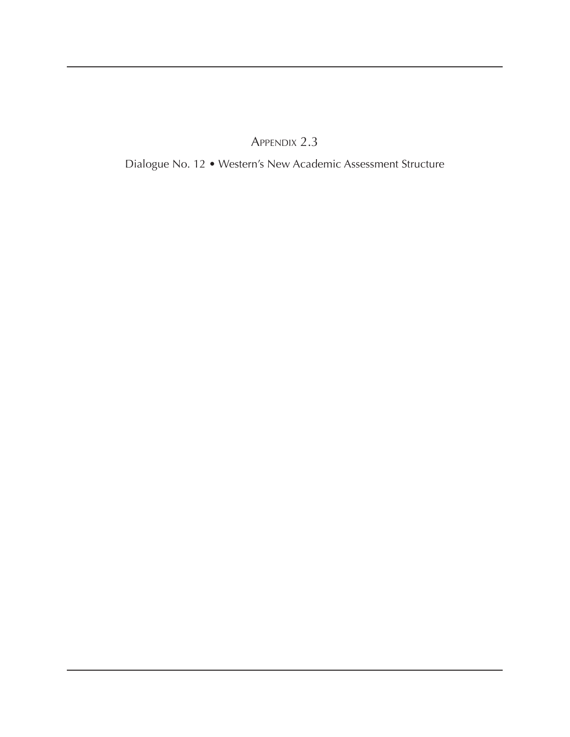Appendix 2.3

Dialogue No. 12 • Western's New Academic Assessment Structure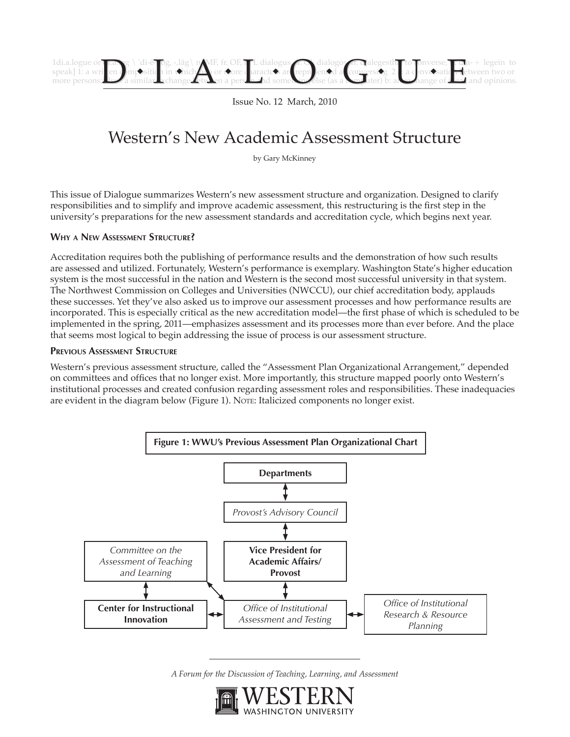

Issue No. 12 March, 2010

# Western's New Academic Assessment Structure

by Gary McKinney

This issue of Dialogue summarizes Western's new assessment structure and organization. Designed to clarify responsibilities and to simplify and improve academic assessment, this restructuring is the first step in the university's preparations for the new assessment standards and accreditation cycle, which begins next year.

### **Why a New Assessment Structure?**

Accreditation requires both the publishing of performance results and the demonstration of how such results are assessed and utilized. Fortunately, Western's performance is exemplary. Washington State's higher education system is the most successful in the nation and Western is the second most successful university in that system. The Northwest Commission on Colleges and Universities (NWCCU), our chief accreditation body, applauds these successes. Yet they've also asked us to improve our assessment processes and how performance results are incorporated. This is especially critical as the new accreditation model—the first phase of which is scheduled to be implemented in the spring, 2011—emphasizes assessment and its processes more than ever before. And the place that seems most logical to begin addressing the issue of process is our assessment structure.

#### **Previous Assessment Structure**

Western's previous assessment structure, called the "Assessment Plan Organizational Arrangement," depended on committees and offices that no longer exist. More importantly, this structure mapped poorly onto Western's institutional processes and created confusion regarding assessment roles and responsibilities. These inadequacies are evident in the diagram below (Figure 1). Note: Italicized components no longer exist.



*A Forum for the Discussion of Teaching, Learning, and Assessment*

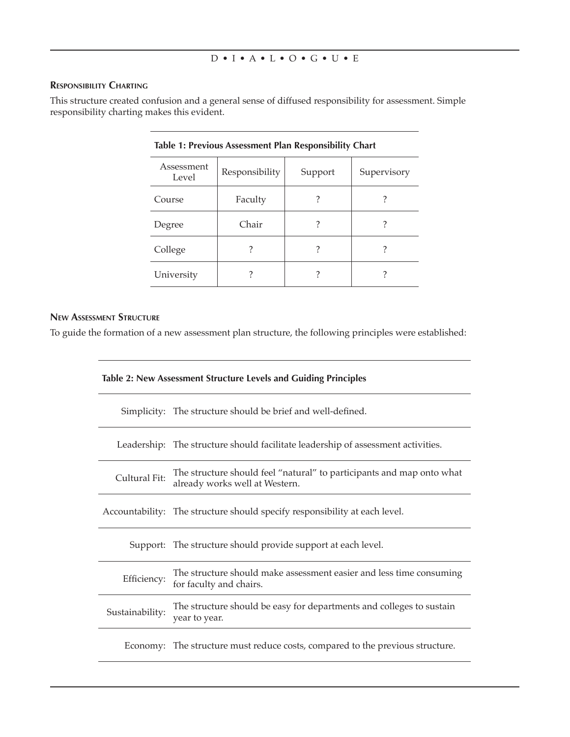#### **Responsibility Charting**

This structure created confusion and a general sense of diffused responsibility for assessment. Simple responsibility charting makes this evident.

| Table 1: Previous Assessment Plan Responsibility Chart |                |         |             |
|--------------------------------------------------------|----------------|---------|-------------|
| Assessment<br>Level                                    | Responsibility | Support | Supervisory |
| Course                                                 | Faculty        |         |             |
| Degree                                                 | Chair          |         |             |
| College                                                |                |         |             |
| University                                             |                |         |             |

# **New Assessment Structure**

To guide the formation of a new assessment plan structure, the following principles were established:

| Table 2: New Assessment Structure Levels and Guiding Principles |                                                                                                         |  |
|-----------------------------------------------------------------|---------------------------------------------------------------------------------------------------------|--|
|                                                                 | Simplicity: The structure should be brief and well-defined.                                             |  |
|                                                                 | Leadership: The structure should facilitate leadership of assessment activities.                        |  |
| Cultural Fit:                                                   | The structure should feel "natural" to participants and map onto what<br>already works well at Western. |  |
|                                                                 | Accountability: The structure should specify responsibility at each level.                              |  |
|                                                                 | Support: The structure should provide support at each level.                                            |  |
| Efficiency:                                                     | The structure should make assessment easier and less time consuming<br>for faculty and chairs.          |  |
| Sustainability:                                                 | The structure should be easy for departments and colleges to sustain<br>year to year.                   |  |
|                                                                 | Economy: The structure must reduce costs, compared to the previous structure.                           |  |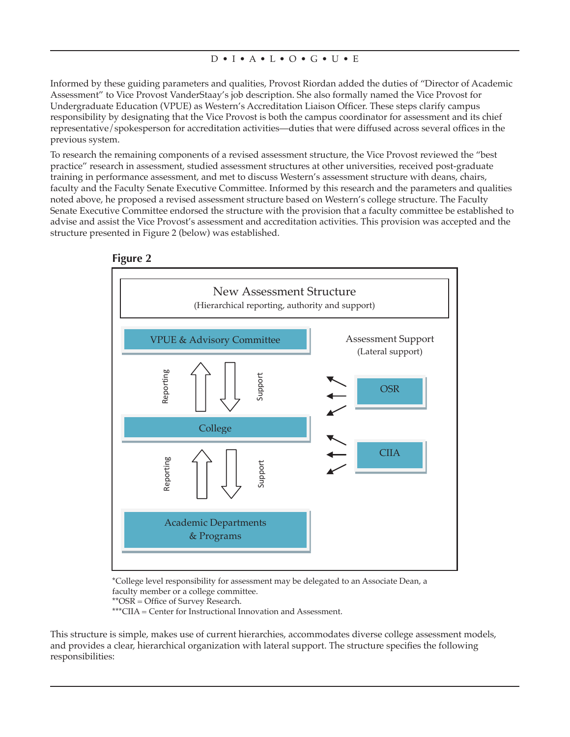Informed by these guiding parameters and qualities, Provost Riordan added the duties of "Director of Academic Assessment" to Vice Provost VanderStaay's job description. She also formally named the Vice Provost for Undergraduate Education (VPUE) as Western's Accreditation Liaison Officer. These steps clarify campus responsibility by designating that the Vice Provost is both the campus coordinator for assessment and its chief representative/spokesperson for accreditation activities—duties that were diffused across several offices in the previous system.

To research the remaining components of a revised assessment structure, the Vice Provost reviewed the "best practice" research in assessment, studied assessment structures at other universities, received post-graduate training in performance assessment, and met to discuss Western's assessment structure with deans, chairs, faculty and the Faculty Senate Executive Committee. Informed by this research and the parameters and qualities noted above, he proposed a revised assessment structure based on Western's college structure. The Faculty Senate Executive Committee endorsed the structure with the provision that a faculty committee be established to advise and assist the Vice Provost's assessment and accreditation activities. This provision was accepted and the structure presented in Figure 2 (below) was established.



\*College level responsibility for assessment may be delegated to an Associate Dean, a faculty member or a college committee.

\*\*OSR = Office of Survey Research. \*\*\*CIIA = Center for Instructional Innovation and Assessment.

This structure is simple, makes use of current hierarchies, accommodates diverse college assessment models, and provides a clear, hierarchical organization with lateral support. The structure specifies the following responsibilities: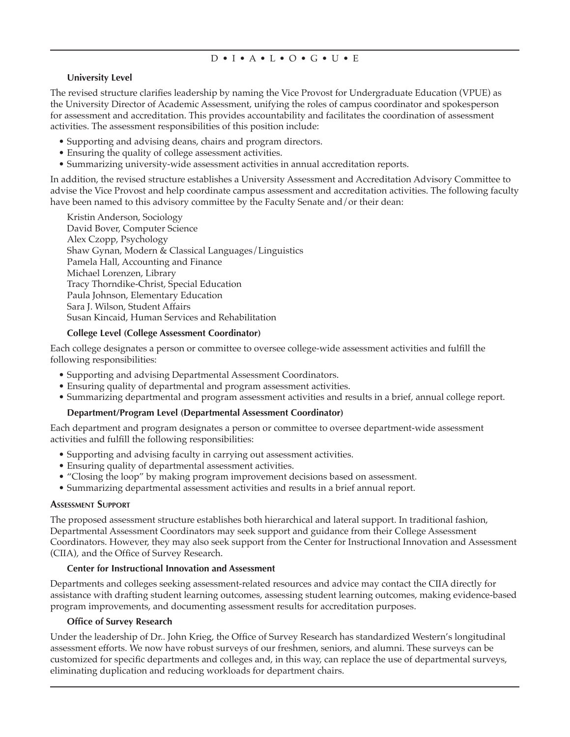# **University Level**

The revised structure clarifies leadership by naming the Vice Provost for Undergraduate Education (VPUE) as the University Director of Academic Assessment, unifying the roles of campus coordinator and spokesperson for assessment and accreditation. This provides accountability and facilitates the coordination of assessment activities. The assessment responsibilities of this position include:

- Supporting and advising deans, chairs and program directors.
- Ensuring the quality of college assessment activities.
- Summarizing university-wide assessment activities in annual accreditation reports.

In addition, the revised structure establishes a University Assessment and Accreditation Advisory Committee to advise the Vice Provost and help coordinate campus assessment and accreditation activities. The following faculty have been named to this advisory committee by the Faculty Senate and/or their dean:

Kristin Anderson, Sociology David Bover, Computer Science Alex Czopp, Psychology Shaw Gynan, Modern & Classical Languages/Linguistics Pamela Hall, Accounting and Finance Michael Lorenzen, Library Tracy Thorndike-Christ, Special Education Paula Johnson, Elementary Education Sara J. Wilson, Student Affairs Susan Kincaid, Human Services and Rehabilitation

### **College Level (College Assessment Coordinator)**

Each college designates a person or committee to oversee college-wide assessment activities and fulfill the following responsibilities:

- Supporting and advising Departmental Assessment Coordinators.
- Ensuring quality of departmental and program assessment activities.
- Summarizing departmental and program assessment activities and results in a brief, annual college report.

### **Department/Program Level (Departmental Assessment Coordinator)**

Each department and program designates a person or committee to oversee department-wide assessment activities and fulfill the following responsibilities:

- Supporting and advising faculty in carrying out assessment activities.
- Ensuring quality of departmental assessment activities.
- "Closing the loop" by making program improvement decisions based on assessment.
- Summarizing departmental assessment activities and results in a brief annual report.

### **Assessment Support**

The proposed assessment structure establishes both hierarchical and lateral support. In traditional fashion, Departmental Assessment Coordinators may seek support and guidance from their College Assessment Coordinators. However, they may also seek support from the Center for Instructional Innovation and Assessment (CIIA), and the Office of Survey Research.

### **Center for Instructional Innovation and Assessment**

Departments and colleges seeking assessment-related resources and advice may contact the CIIA directly for assistance with drafting student learning outcomes, assessing student learning outcomes, making evidence-based program improvements, and documenting assessment results for accreditation purposes.

### **Office of Survey Research**

Under the leadership of Dr.. John Krieg, the Office of Survey Research has standardized Western's longitudinal assessment efforts. We now have robust surveys of our freshmen, seniors, and alumni. These surveys can be customized for specific departments and colleges and, in this way, can replace the use of departmental surveys, eliminating duplication and reducing workloads for department chairs.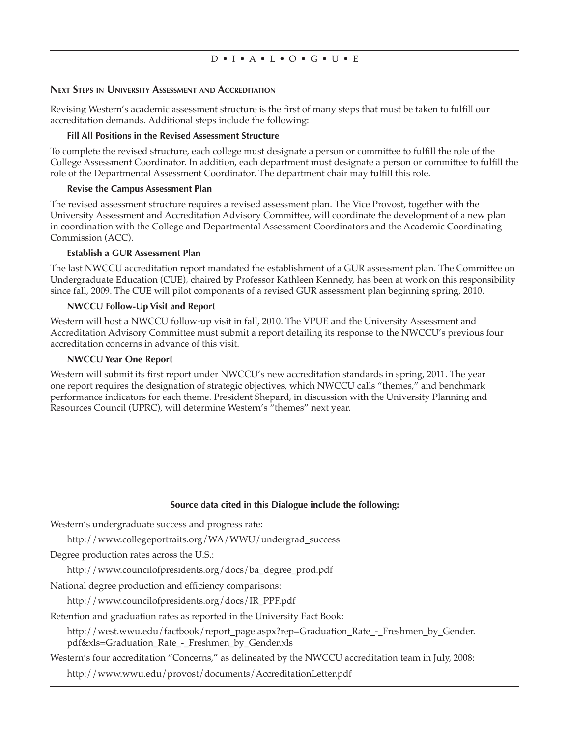#### **Next Steps in University Assessment and Accreditation**

Revising Western's academic assessment structure is the first of many steps that must be taken to fulfill our accreditation demands. Additional steps include the following:

#### **Fill All Positions in the Revised Assessment Structure**

To complete the revised structure, each college must designate a person or committee to fulfill the role of the College Assessment Coordinator. In addition, each department must designate a person or committee to fulfill the role of the Departmental Assessment Coordinator. The department chair may fulfill this role.

#### **Revise the Campus Assessment Plan**

The revised assessment structure requires a revised assessment plan. The Vice Provost, together with the University Assessment and Accreditation Advisory Committee, will coordinate the development of a new plan in coordination with the College and Departmental Assessment Coordinators and the Academic Coordinating Commission (ACC).

#### **Establish a GUR Assessment Plan**

The last NWCCU accreditation report mandated the establishment of a GUR assessment plan. The Committee on Undergraduate Education (CUE), chaired by Professor Kathleen Kennedy, has been at work on this responsibility since fall, 2009. The CUE will pilot components of a revised GUR assessment plan beginning spring, 2010.

#### **NWCCU Follow-Up Visit and Report**

Western will host a NWCCU follow-up visit in fall, 2010. The VPUE and the University Assessment and Accreditation Advisory Committee must submit a report detailing its response to the NWCCU's previous four accreditation concerns in advance of this visit.

#### **NWCCU Year One Report**

Western will submit its first report under NWCCU's new accreditation standards in spring, 2011. The year one report requires the designation of strategic objectives, which NWCCU calls "themes," and benchmark performance indicators for each theme. President Shepard, in discussion with the University Planning and Resources Council (UPRC), will determine Western's "themes" next year.

#### **Source data cited in this Dialogue include the following:**

Western's undergraduate success and progress rate:

http://www.collegeportraits.org/WA/WWU/undergrad\_success

Degree production rates across the U.S.:

http://www.councilofpresidents.org/docs/ba\_degree\_prod.pdf

National degree production and efficiency comparisons:

http://www.councilofpresidents.org/docs/IR\_PPF.pdf

Retention and graduation rates as reported in the University Fact Book:

http://west.wwu.edu/factbook/report\_page.aspx?rep=Graduation\_Rate\_-\_Freshmen\_by\_Gender. pdf&xls=Graduation\_Rate\_-\_Freshmen\_by\_Gender.xls

Western's four accreditation "Concerns," as delineated by the NWCCU accreditation team in July, 2008:

http://www.wwu.edu/provost/documents/AccreditationLetter.pdf